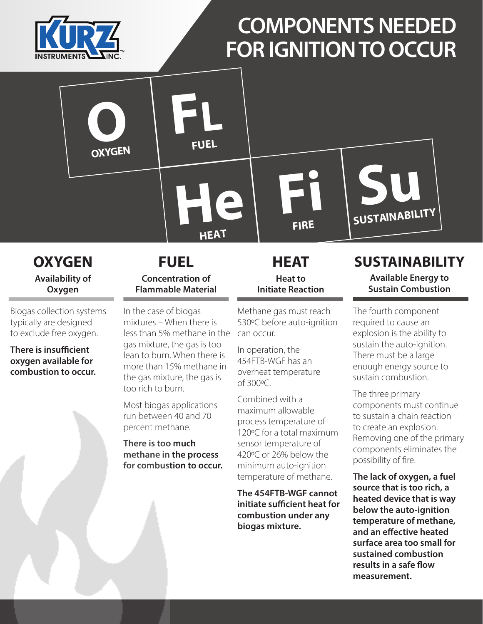

**O**

**OXYGEN**

## **COMPONENTS NEEDED FOR IGNITION TO OCCUR**

**OXYGEN Availability of Oxygen**

Biogas collection systems typically are designed to exclude free oxygen.

**There is insufficient oxygen available for combustion to occur.**

#### **FUEL Concentration of Flammable Material**

**FL**

**FUEL**

**He**

**HEAT**

In the case of biogas mixtures – When there is less than 5% methane in the gas mixture, the gas is too lean to burn. When there is more than 15% methane in the gas mixture, the gas is too rich to burn.

Most biogas applications run between 40 and 70 percent methane.

**There is too much methane in the process for combustion to occur.**

**HEAT Heat to Initiate Reaction**

**Fi**

**FIRE**

Methane gas must reach 530ºC before auto-ignition can occur.

In operation, the 454FTB-WGF has an overheat temperature of 300ºC.

Combined with a maximum allowable process temperature of 120ºC for a total maximum sensor temperature of 420ºC or 26% below the minimum auto-ignition temperature of methane.

**The 454FTB-WGF cannot initiate sufficient heat for combustion under any biogas mixture.**

## **SUSTAINABILITY**

**Su**

**SUSTAINABILITY**

**Available Energy to Sustain Combustion**

The fourth component required to cause an explosion is the ability to sustain the auto-ignition. There must be a large enough energy source to sustain combustion.

The three primary components must continue to sustain a chain reaction to create an explosion. Removing one of the primary components eliminates the possibility of fire.

**The lack of oxygen, a fuel source that is too rich, a heated device that is way below the auto-ignition temperature of methane, and an effective heated surface area too small for sustained combustion results in a safe flow measurement.**